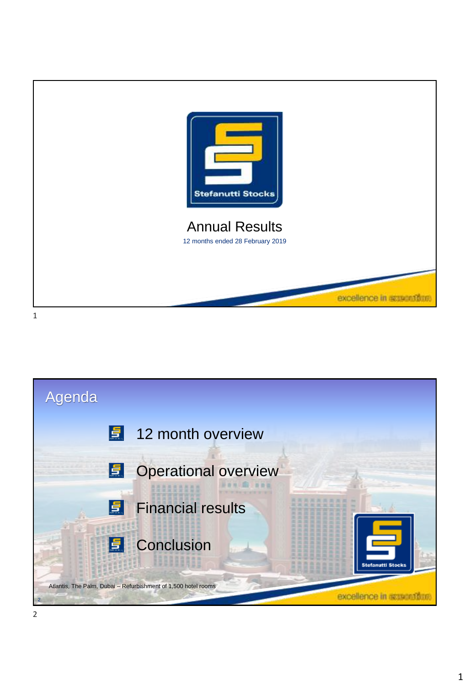

Agenda 12 month overview 15 Operational overview 貞 Financial results 圖 **E** Conclusion Atlantis, The Palm, Dubai – Refurbishment of 1,500 hotel rooms excellence in excentificat 2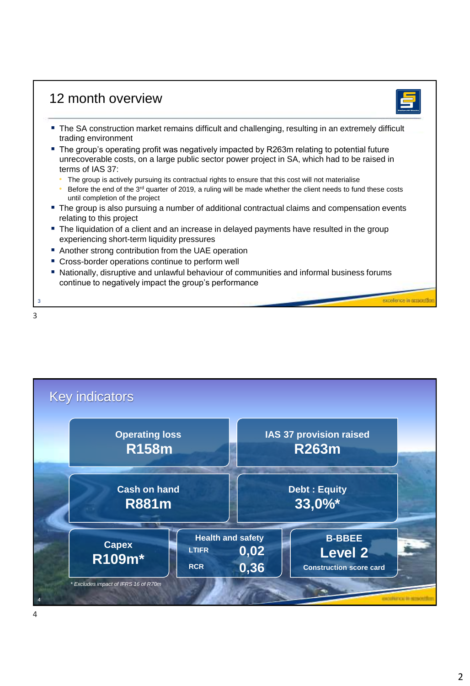## 12 month overview

- 
- **The SA construction market remains difficult and challenging, resulting in an extremely difficult** trading environment
- The group's operating profit was negatively impacted by R263m relating to potential future unrecoverable costs, on a large public sector power project in SA, which had to be raised in terms of IAS 37:
	- The group is actively pursuing its contractual rights to ensure that this cost will not materialise
	- Before the end of the 3<sup>rd</sup> quarter of 2019, a ruling will be made whether the client needs to fund these costs until completion of the project
- The group is also pursuing a number of additional contractual claims and compensation events relating to this project
- The liquidation of a client and an increase in delayed payments have resulted in the group experiencing short-term liquidity pressures
- Another strong contribution from the UAE operation
- **EX Cross-border operations continue to perform well**
- Nationally, disruptive and unlawful behaviour of communities and informal business forums continue to negatively impact the group's performance



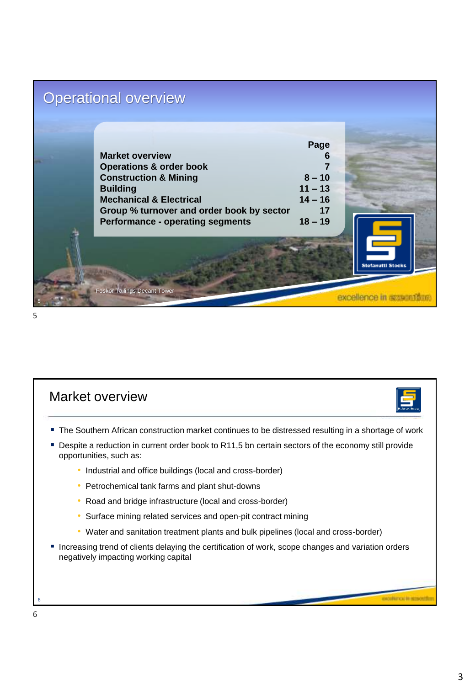## Operational overview

|                                           | Page      |                          |
|-------------------------------------------|-----------|--------------------------|
| <b>Market overview</b>                    | 6         |                          |
| <b>Operations &amp; order book</b>        |           |                          |
| <b>Construction &amp; Mining</b>          | $8 - 10$  |                          |
| <b>Building</b>                           | $11 - 13$ |                          |
| <b>Mechanical &amp; Electrical</b>        | $14 - 16$ |                          |
| Group % turnover and order book by sector | 17        |                          |
| <b>Performance - operating segments</b>   | $18 - 19$ |                          |
|                                           |           | <b>Stefanutti Stocks</b> |
| <b>Foskor Tailings Decant Tower</b>       |           |                          |

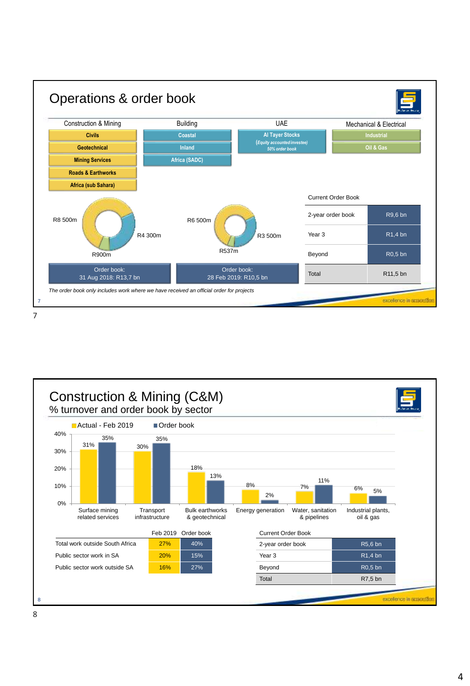

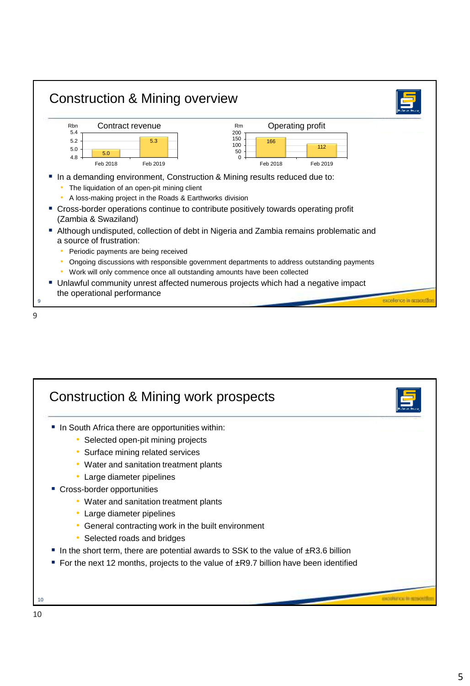

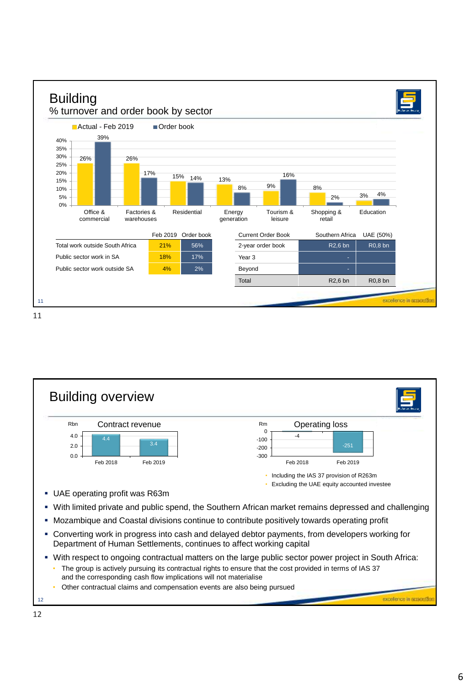





• Other contractual claims and compensation events are also being pursued

excellence in acasasti?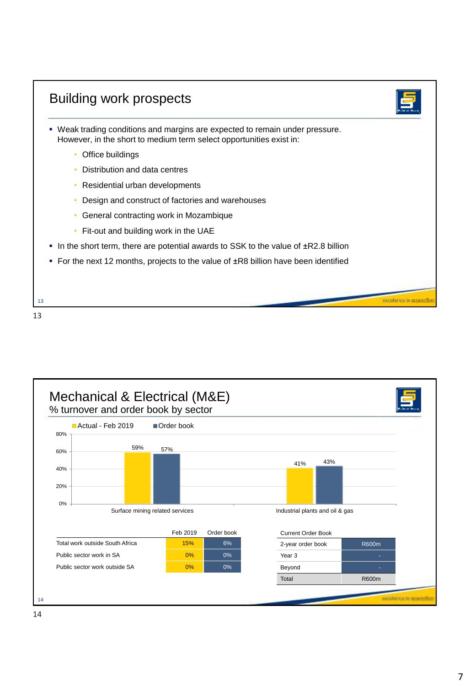| . Weak trading conditions and margins are expected to remain under pressure.<br>However, in the short to medium term select opportunities exist in: |  |
|-----------------------------------------------------------------------------------------------------------------------------------------------------|--|
| Office buildings                                                                                                                                    |  |
| Distribution and data centres                                                                                                                       |  |
| Residential urban developments                                                                                                                      |  |
| Design and construct of factories and warehouses                                                                                                    |  |
| General contracting work in Mozambique                                                                                                              |  |
| Fit-out and building work in the UAE                                                                                                                |  |
| In the short term, there are potential awards to SSK to the value of $\pm$ R2.8 billion                                                             |  |
| For the next 12 months, projects to the value of ±R8 billion have been identified                                                                   |  |

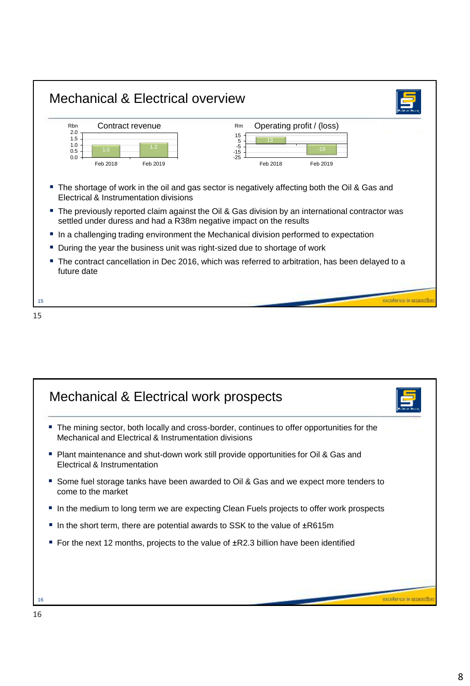



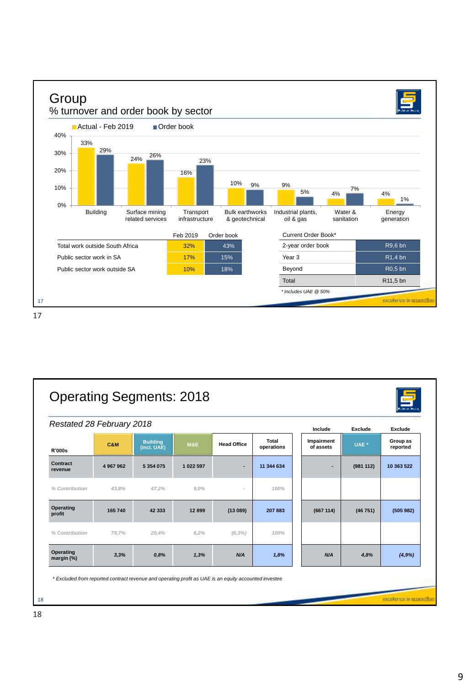



18

excellence in acasemble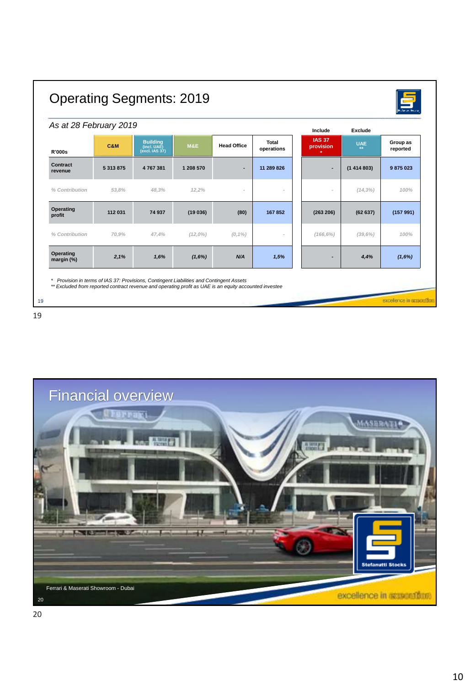| As at 28 February 2019  |               |                                                  |                |                    |                     | Include                    | Exclude          |                      |
|-------------------------|---------------|--------------------------------------------------|----------------|--------------------|---------------------|----------------------------|------------------|----------------------|
| <b>R'000s</b>           | C&M           | <b>Building</b><br>(incl. UAE)<br>(excl. IAS 37) | <b>M&amp;E</b> | <b>Head Office</b> | Total<br>operations | <b>IAS 37</b><br>provision | <b>UAE</b><br>** | Group as<br>reported |
| Contract<br>revenue     | 5 3 1 3 8 7 5 | 4767381                                          | 1 208 570      | ٠                  | 11 289 826          |                            | (1414803)        | 9875023              |
| % Contribution          | 53.8%         | 48.3%                                            | 12.2%          |                    |                     | $\overline{a}$             | $(14, 3\%)$      | 100%                 |
| Operating<br>profit     | 112 031       | 74 937                                           | (19036)        | (80)               | 167852              | (263 206)                  | (62637)          | (157991)             |
| % Contribution          | 70,9%         | 47.4%                                            | $(12,0\%)$     | $(0,1\%)$          | $\sim$              | $(166, 6\%)$               | (39,6%)          | 100%                 |
| Operating<br>margin (%) | 2,1%          | 1,6%                                             | (1,6%)         | N/A                | 1,5%                |                            | 4,4%             | (1,6%)               |

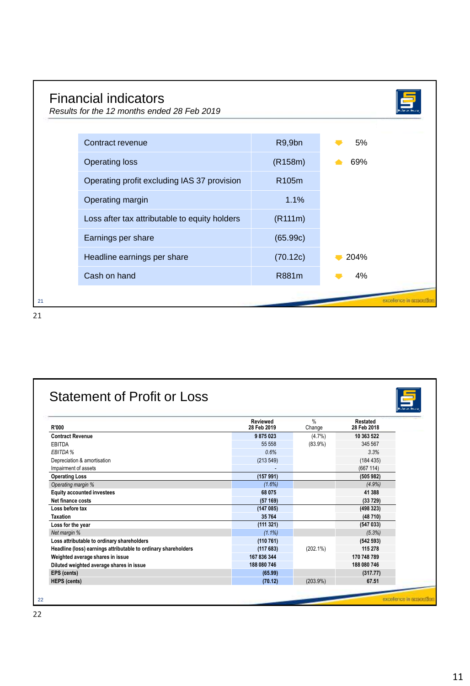|    | <b>Financial indicators</b><br>Results for the 12 months ended 28 Feb 2019 |                    |      |  |
|----|----------------------------------------------------------------------------|--------------------|------|--|
|    | Contract revenue                                                           | R9,9bn             | 5%   |  |
|    | <b>Operating loss</b>                                                      | (R158m)            | 69%  |  |
|    | Operating profit excluding IAS 37 provision                                | R <sub>105</sub> m |      |  |
|    | Operating margin                                                           | 1.1%               |      |  |
|    | Loss after tax attributable to equity holders                              | (R111m)            |      |  |
|    | Earnings per share                                                         | (65.99c)           |      |  |
|    | Headline earnings per share                                                | (70.12c)           | 204% |  |
|    | Cash on hand                                                               | R881m              | 4%   |  |
| 21 |                                                                            |                    |      |  |

| R'000                                                          | <b>Reviewed</b><br>28 Feb 2019 | $\frac{0}{n}$<br>Change | Restated<br>28 Feb 2018 |
|----------------------------------------------------------------|--------------------------------|-------------------------|-------------------------|
| <b>Contract Revenue</b>                                        | 9875023                        | $(4.7\%)$               | 10 363 522              |
| EBITDA                                                         | 55 558                         | $(83.9\%)$              | 345 567                 |
| EBITDA %                                                       | 0.6%                           |                         | 3.3%                    |
| Depreciation & amortisation                                    | (213 549)                      |                         | (184435)                |
| Impairment of assets                                           |                                |                         | (667 114)               |
| <b>Operating Loss</b>                                          | (157991)                       |                         | (505982)                |
| Operating margin %                                             | $(1.6\%)$                      |                         | (4.9%)                  |
| <b>Equity accounted investees</b>                              | 68 075                         |                         | 41 388                  |
| Net finance costs                                              | (57169)                        |                         | (33729)                 |
| Loss before tax                                                | (147085)                       |                         | (498323)                |
| <b>Taxation</b>                                                | 35764                          |                         | (48710)                 |
| Loss for the year                                              | (111321)                       |                         | (547033)                |
| Net margin %                                                   | $(1.1\%)$                      |                         | (5.3%)                  |
| Loss attributable to ordinary shareholders                     | (110761)                       |                         | (542593)                |
| Headline (loss) earnings attributable to ordinary shareholders | (117683)                       | $(202.1\%)$             | 115 278                 |
| Weighted average shares in issue                               | 167 836 344                    |                         | 170 748 789             |
| Diluted weighted average shares in issue                       | 188 080 746                    |                         | 188 080 746             |
| EPS (cents)                                                    | (65.99)                        |                         | (317.77)                |
| <b>HEPS</b> (cents)                                            | (70.12)                        | (203.9%)                | 67.51                   |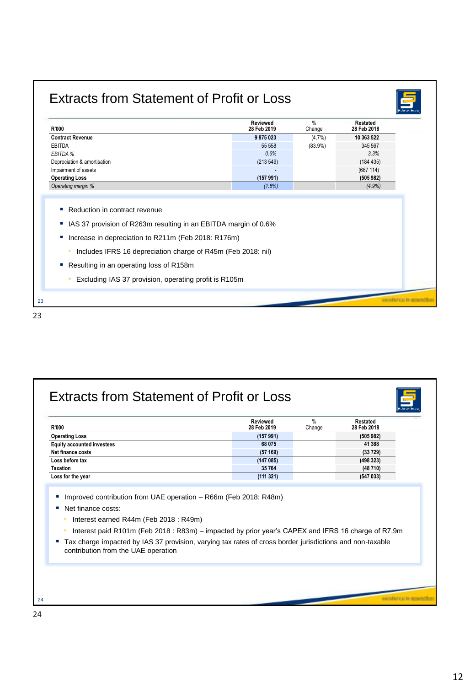## Extracts from Statement of Profit or Loss



- Includes IFRS 16 depreciation charge of R45m (Feb 2018: nil)
- Resulting in an operating loss of R158m
	- Excluding IAS 37 provision, operating profit is R105m



| <b>R'000</b>                                                 | Reviewed<br>28 Feb 2019                                                                           | $\frac{0}{0}$<br>Change | Restated<br>28 Feb 2018                                                                                  |
|--------------------------------------------------------------|---------------------------------------------------------------------------------------------------|-------------------------|----------------------------------------------------------------------------------------------------------|
| <b>Operating Loss</b>                                        | (157991)                                                                                          |                         | (505982)                                                                                                 |
| <b>Equity accounted investees</b>                            | 68 075                                                                                            |                         | 41 388                                                                                                   |
| Net finance costs                                            | (57169)                                                                                           |                         | (33729)                                                                                                  |
| Loss before tax                                              | (147085)                                                                                          |                         | (498323)                                                                                                 |
| <b>Taxation</b>                                              | 35764<br>(111321)                                                                                 |                         | (48710)<br>(547033)                                                                                      |
| Net finance costs:<br>Interest earned R44m (Feb 2018 : R49m) | Interest paid R101m (Feb 2018: R83m) – impacted by prior year's CAPEX and IFRS 16 charge of R7,9m |                         |                                                                                                          |
|                                                              |                                                                                                   |                         | Tax charge impacted by IAS 37 provision, varying tax rates of cross border jurisdictions and non-taxable |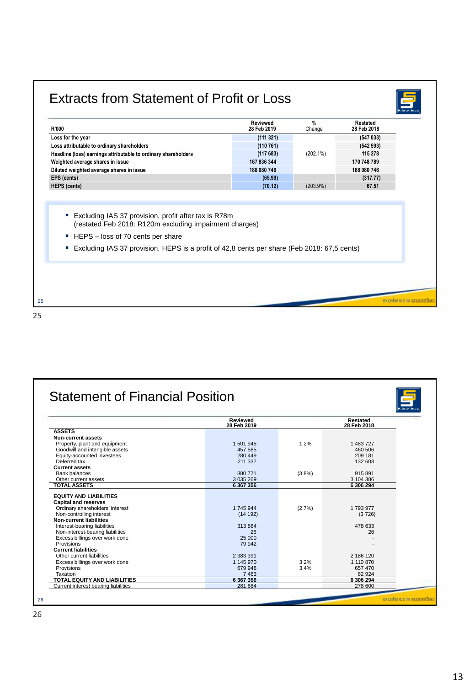| R'000                                                                                                           | Reviewed<br>28 Feb 2019 | $\%$<br>Change | Restated<br>28 Feb 2018 |
|-----------------------------------------------------------------------------------------------------------------|-------------------------|----------------|-------------------------|
| Loss for the year                                                                                               | (111321)                |                | (547033)                |
| Loss attributable to ordinary shareholders                                                                      | (110761)                |                | (542593)                |
| Headline (loss) earnings attributable to ordinary shareholders                                                  | (117683)                | $(202.1\%)$    | 115 278                 |
| Weighted average shares in issue                                                                                | 167 836 344             |                | 170 748 789             |
| Diluted weighted average shares in issue                                                                        | 188 080 746             |                | 188 080 746             |
| EPS (cents)                                                                                                     | (65.99)                 |                | (317.77)                |
|                                                                                                                 |                         |                |                         |
| Excluding IAS 37 provision, profit after tax is R78m<br>(restated Feb 2018: R120m excluding impairment charges) |                         |                |                         |
| HEPS - loss of 70 cents per share<br>×.                                                                         |                         |                |                         |
| Excluding IAS 37 provision, HEPS is a profit of 42,8 cents per share (Feb 2018: 67,5 cents)                     |                         |                |                         |

|                                      | Reviewed<br>28 Feb 2019 |           | Restated<br>28 Feb 2018 |
|--------------------------------------|-------------------------|-----------|-------------------------|
| <b>ASSETS</b>                        |                         |           |                         |
| <b>Non-current assets</b>            |                         |           |                         |
| Property, plant and equipment        | 1 501 945               | 1.2%      | 1 483 727               |
| Goodwill and intangible assets       | 457 585                 |           | 460 506                 |
| Equity-accounted investees           | 280 449                 |           | 209 181                 |
| Deferred tax                         | 211 337                 |           | 132 603                 |
| <b>Current assets</b>                |                         |           |                         |
| <b>Bank balances</b>                 | 880 771                 | $(3.8\%)$ | 915 891                 |
| Other current assets                 | 3 0 3 5 2 6 9           |           | 3 104 386               |
| <b>TOTAL ASSETS</b>                  | 6 367 356               |           | 6 306 294               |
| <b>EQUITY AND LIABILITIES</b>        |                         |           |                         |
| <b>Capital and reserves</b>          |                         |           |                         |
| Ordinary shareholders' interest      | 1 745 944               | (2.7%)    | 1 793 977               |
| Non-controlling interest             | (14192)                 |           | (3726)                  |
| <b>Non-current liabilities</b>       |                         |           |                         |
| Interest-bearing liabilities         | 313 864                 |           | 478 633                 |
| Non-interest-bearing liabilities     | 26                      |           | 26                      |
| Excess billings over work done       | 25 000                  |           |                         |
| Provisions                           | 79 942                  |           |                         |
| <b>Current liabilities</b>           |                         |           |                         |
| Other current liabilities            | 2 383 391               |           | 2 186 120               |
| Excess billings over work done       | 1 145 970               | 3.2%      | 1 110 870               |
| Provisions                           | 679 948                 | 3.4%      | 657 470                 |
| Taxation                             | 7 4 6 3                 |           | 82 924                  |
| TOTAL EQUITY AND LIABILITIES         | 6 367 356               |           | 6 306 294               |
| Current interest bearing liabilities | 281 684                 |           | 278 600                 |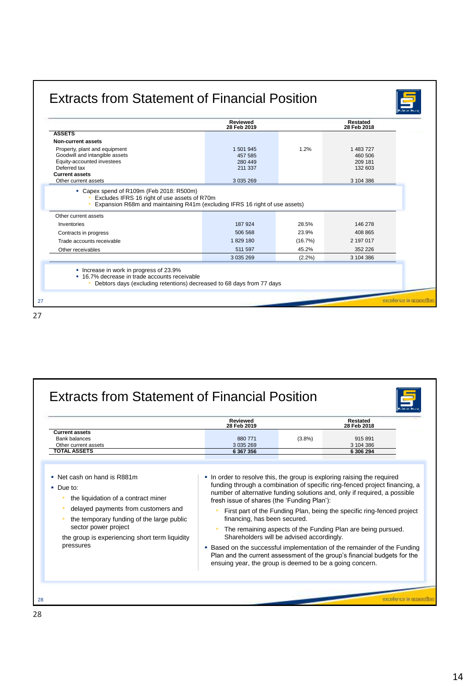|                                                                                                                                                                                                                          | <b>Reviewed</b><br>28 Feb 2019 |         | Restated<br>28 Feb 2018 |
|--------------------------------------------------------------------------------------------------------------------------------------------------------------------------------------------------------------------------|--------------------------------|---------|-------------------------|
| <b>ASSETS</b>                                                                                                                                                                                                            |                                |         |                         |
| Non-current assets                                                                                                                                                                                                       |                                |         |                         |
| Property, plant and equipment                                                                                                                                                                                            | 1 501 945                      | 1.2%    | 1 483 727               |
| Goodwill and intangible assets                                                                                                                                                                                           | 457 585                        |         | 460 506                 |
| Equity-accounted investees<br>Deferred tax                                                                                                                                                                               | 280 449<br>211 337             |         | 209 181<br>132 603      |
|                                                                                                                                                                                                                          |                                |         |                         |
|                                                                                                                                                                                                                          |                                |         |                         |
| <b>Current assets</b><br>Other current assets<br>• Capex spend of R109m (Feb 2018: R500m)<br>Excludes IFRS 16 right of use assets of R70m<br>Expansion R68m and maintaining R41m (excluding IFRS 16 right of use assets) | 3 0 3 5 2 6 9                  |         | 3 104 386               |
| Other current assets                                                                                                                                                                                                     |                                |         |                         |
| Inventories                                                                                                                                                                                                              | 187924                         | 28.5%   | 146 278                 |
| Contracts in progress                                                                                                                                                                                                    | 506 568                        | 23.9%   | 408 865                 |
| Trade accounts receivable                                                                                                                                                                                                | 1829 180                       | (16.7%) | 2 197 017               |
| Other receivables                                                                                                                                                                                                        | 511 597                        | 45.2%   | 352 226                 |

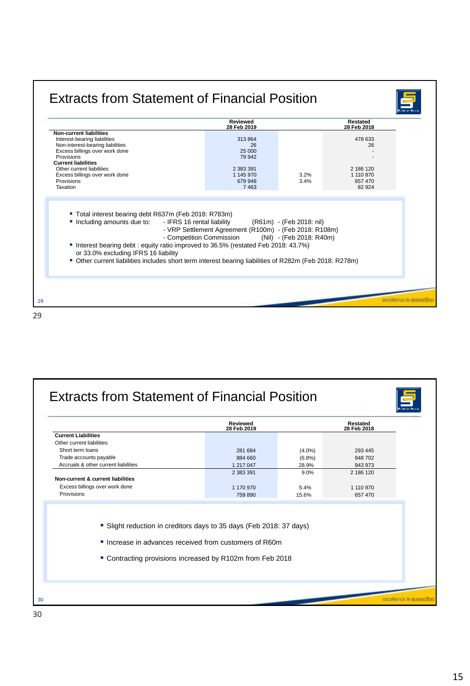|                                                                                                                                                                                                                                                                                                                                                                                     | Reviewed<br>28 Feb 2019                                                        |                                                      | Restated<br>28 Feb 2018                                      |  |
|-------------------------------------------------------------------------------------------------------------------------------------------------------------------------------------------------------------------------------------------------------------------------------------------------------------------------------------------------------------------------------------|--------------------------------------------------------------------------------|------------------------------------------------------|--------------------------------------------------------------|--|
| <b>Non-current liabilities</b><br>Interest-bearing liabilities<br>Non-interest-bearing liabilities<br>Excess billings over work done<br>Provisions<br><b>Current liabilities</b><br>Other current liabilities<br>Excess billings over work done<br>Provisions<br>Taxation                                                                                                           | 313 864<br>26<br>25 000<br>79 942<br>2 383 391<br>1 145 970<br>679 948<br>7463 | 3.2%<br>3.4%                                         | 478 633<br>26<br>2 186 120<br>1 110 870<br>657 470<br>82 924 |  |
| ■ Total interest bearing debt R637m (Feb 2018: R783m)<br>Including amounts due to:<br>- IFRS 16 rental liability<br>- Competition Commission<br>Interest bearing debt: equity ratio improved to 36.5% (restated Feb 2018: 43.7%)<br>or 33.0% excluding IFRS 16 liability<br>■ Other current liabilities includes short term interest bearing liabilities of R282m (Feb 2018: R278m) | - VRP Settlement Agreement (R100m) - (Feb 2018: R108m)                         | (R61m) - (Feb 2018: nil)<br>(Nil) - (Feb 2018: R40m) |                                                              |  |

|                                                                                                                                                                                          | Reviewed<br>28 Feb 2019 |           | Restated<br>28 Feb 2018 |  |
|------------------------------------------------------------------------------------------------------------------------------------------------------------------------------------------|-------------------------|-----------|-------------------------|--|
| <b>Current Liabilities</b>                                                                                                                                                               |                         |           |                         |  |
| Other current liabilities                                                                                                                                                                |                         |           |                         |  |
| Short term loans                                                                                                                                                                         | 281 684                 | $(4.0\%)$ | 293 445                 |  |
| Trade accounts payable                                                                                                                                                                   | 884 660                 | $(6.8\%)$ | 948 702                 |  |
| Accruals & other current liabilities                                                                                                                                                     | 1 217 047               | 28.9%     | 943 973                 |  |
|                                                                                                                                                                                          | 2 383 391               | 9.0%      | 2 186 120               |  |
| Non-current & current liabilities                                                                                                                                                        |                         |           |                         |  |
| Excess billings over work done                                                                                                                                                           | 1 170 970               | 5.4%      | 1 110 870               |  |
| Provisions                                                                                                                                                                               | 759 890                 | 15.6%     | 657 470                 |  |
| • Slight reduction in creditors days to 35 days (Feb 2018: 37 days)<br>Increase in advances received from customers of R60m<br>■ Contracting provisions increased by R102m from Feb 2018 |                         |           |                         |  |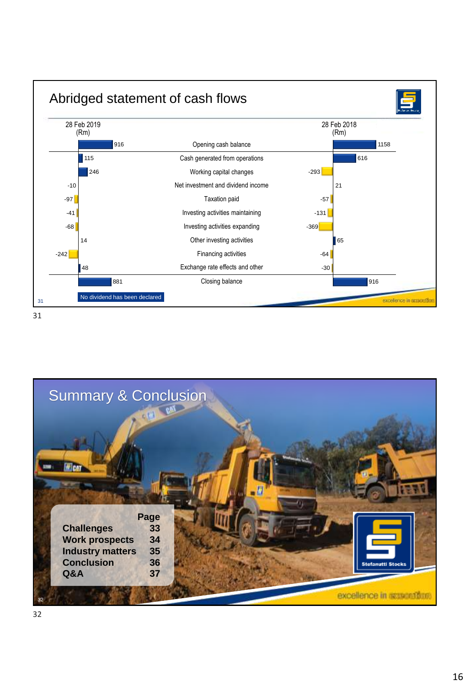

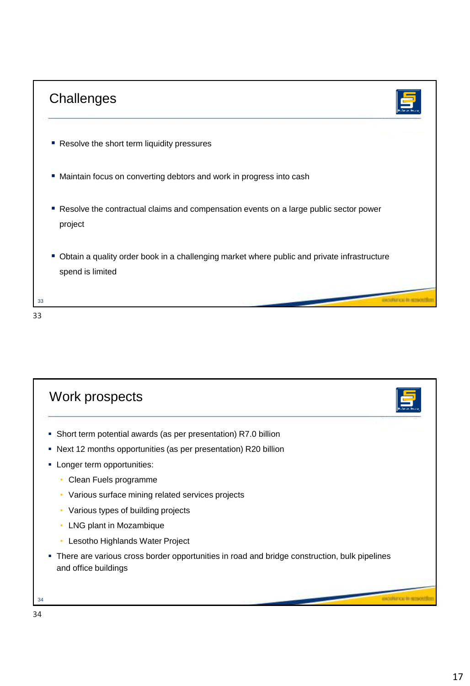



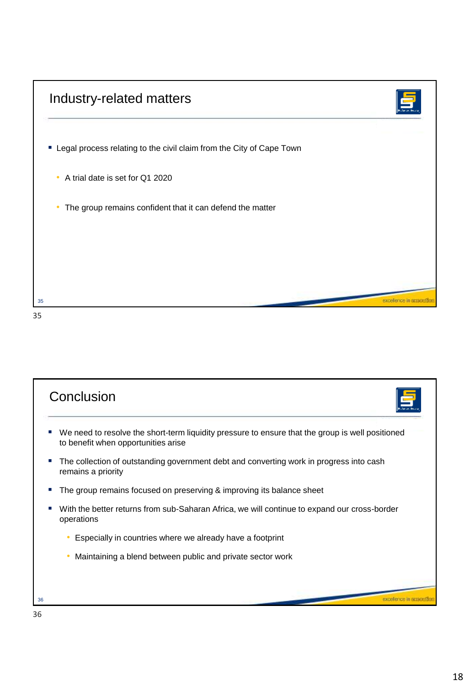| Industry-related matters                                               |  |
|------------------------------------------------------------------------|--|
| " Legal process relating to the civil claim from the City of Cape Town |  |
| A trial date is set for Q1 2020<br>$\bullet$                           |  |
| The group remains confident that it can defend the matter<br>$\bullet$ |  |
|                                                                        |  |
|                                                                        |  |
|                                                                        |  |